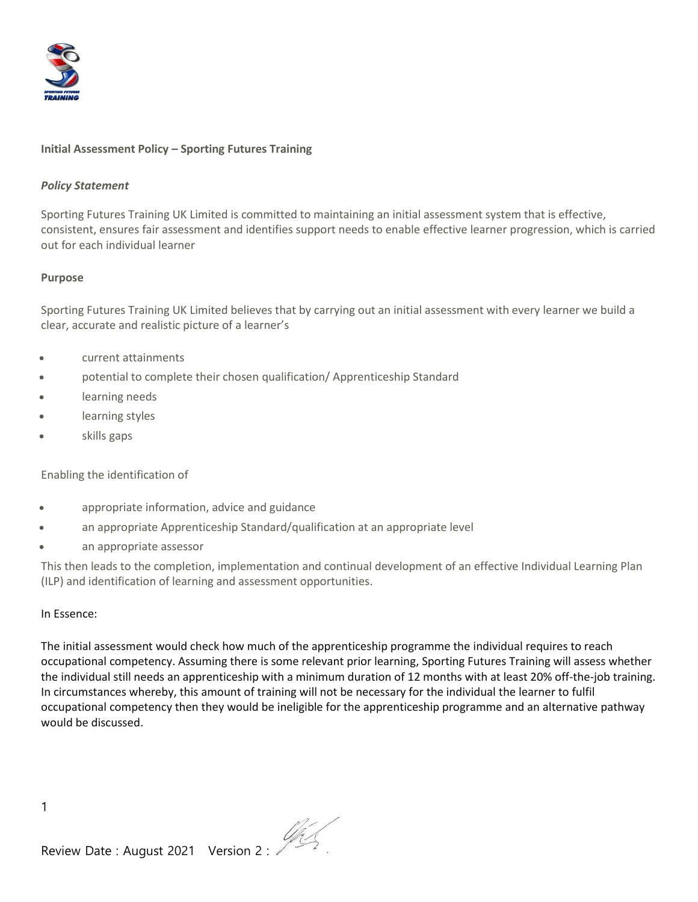

## **Initial Assessment Policy – Sporting Futures Training**

#### *Policy Statement*

Sporting Futures Training UK Limited is committed to maintaining an initial assessment system that is effective, consistent, ensures fair assessment and identifies support needs to enable effective learner progression, which is carried out for each individual learner

#### **Purpose**

Sporting Futures Training UK Limited believes that by carrying out an initial assessment with every learner we build a clear, accurate and realistic picture of a learner's

- current attainments
- potential to complete their chosen qualification/ Apprenticeship Standard
- learning needs
- learning styles
- skills gaps

Enabling the identification of

- appropriate information, advice and guidance
- an appropriate Apprenticeship Standard/qualification at an appropriate level
- an appropriate assessor

This then leads to the completion, implementation and continual development of an effective Individual Learning Plan (ILP) and identification of learning and assessment opportunities.

#### In Essence:

The initial assessment would check how much of the apprenticeship programme the individual requires to reach occupational competency. Assuming there is some relevant prior learning, Sporting Futures Training will assess whether the individual still needs an apprenticeship with a minimum duration of 12 months with at least 20% off-the-job training. In circumstances whereby, this amount of training will not be necessary for the individual the learner to fulfil occupational competency then they would be ineligible for the apprenticeship programme and an alternative pathway would be discussed.

1

Review Date : August 2021 Version 2 :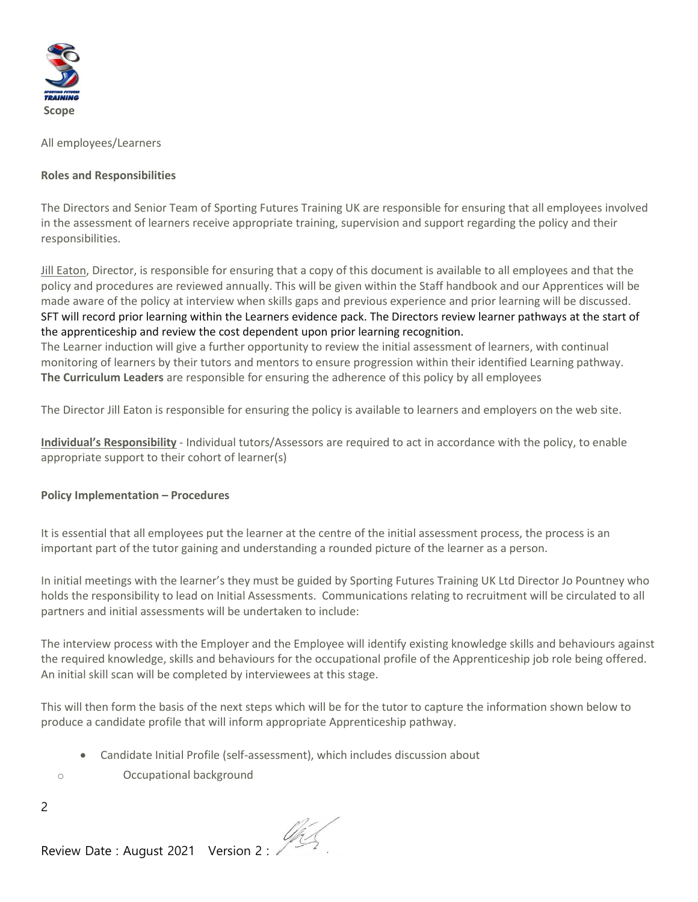

All employees/Learners

## **Roles and Responsibilities**

The Directors and Senior Team of Sporting Futures Training UK are responsible for ensuring that all employees involved in the assessment of learners receive appropriate training, supervision and support regarding the policy and their responsibilities.

Jill Eaton, Director, is responsible for ensuring that a copy of this document is available to all employees and that the policy and procedures are reviewed annually. This will be given within the Staff handbook and our Apprentices will be made aware of the policy at interview when skills gaps and previous experience and prior learning will be discussed. SFT will record prior learning within the Learners evidence pack. The Directors review learner pathways at the start of the apprenticeship and review the cost dependent upon prior learning recognition.

The Learner induction will give a further opportunity to review the initial assessment of learners, with continual monitoring of learners by their tutors and mentors to ensure progression within their identified Learning pathway. **The Curriculum Leaders** are responsible for ensuring the adherence of this policy by all employees

The Director Jill Eaton is responsible for ensuring the policy is available to learners and employers on the web site.

**Individual's Responsibility** - Individual tutors/Assessors are required to act in accordance with the policy, to enable appropriate support to their cohort of learner(s)

# **Policy Implementation – Procedures**

It is essential that all employees put the learner at the centre of the initial assessment process, the process is an important part of the tutor gaining and understanding a rounded picture of the learner as a person.

In initial meetings with the learner's they must be guided by Sporting Futures Training UK Ltd Director Jo Pountney who holds the responsibility to lead on Initial Assessments. Communications relating to recruitment will be circulated to all partners and initial assessments will be undertaken to include:

The interview process with the Employer and the Employee will identify existing knowledge skills and behaviours against the required knowledge, skills and behaviours for the occupational profile of the Apprenticeship job role being offered. An initial skill scan will be completed by interviewees at this stage.

This will then form the basis of the next steps which will be for the tutor to capture the information shown below to produce a candidate profile that will inform appropriate Apprenticeship pathway.

- Candidate Initial Profile (self-assessment), which includes discussion about
- o Occupational background

2

Review Date : August 2021 Version 2 :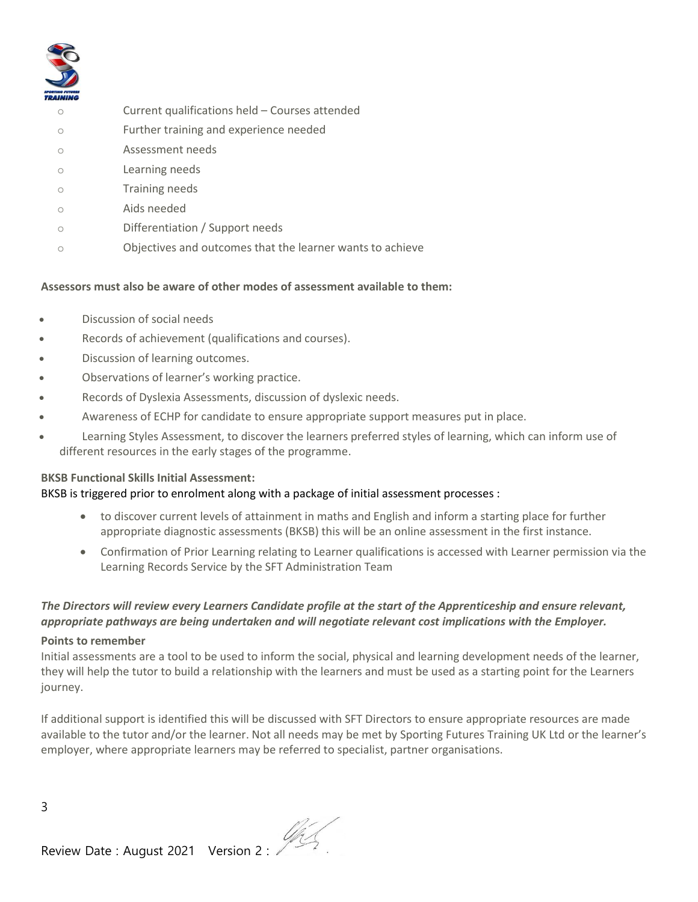

- o Current qualifications held Courses attended
- o Further training and experience needed
- o Assessment needs
- o Learning needs
- o Training needs
- o Aids needed
- o Differentiation / Support needs
- o Objectives and outcomes that the learner wants to achieve

## **Assessors must also be aware of other modes of assessment available to them:**

- Discussion of social needs
- Records of achievement (qualifications and courses).
- Discussion of learning outcomes.
- Observations of learner's working practice.
- Records of Dyslexia Assessments, discussion of dyslexic needs.
- Awareness of ECHP for candidate to ensure appropriate support measures put in place.
- Learning Styles Assessment, to discover the learners preferred styles of learning, which can inform use of different resources in the early stages of the programme.

## **BKSB Functional Skills Initial Assessment:**

## BKSB is triggered prior to enrolment along with a package of initial assessment processes :

- to discover current levels of attainment in maths and English and inform a starting place for further appropriate diagnostic assessments (BKSB) this will be an online assessment in the first instance.
- Confirmation of Prior Learning relating to Learner qualifications is accessed with Learner permission via the Learning Records Service by the SFT Administration Team

# *The Directors will review every Learners Candidate profile at the start of the Apprenticeship and ensure relevant, appropriate pathways are being undertaken and will negotiate relevant cost implications with the Employer.*

## **Points to remember**

Initial assessments are a tool to be used to inform the social, physical and learning development needs of the learner, they will help the tutor to build a relationship with the learners and must be used as a starting point for the Learners journey.

If additional support is identified this will be discussed with SFT Directors to ensure appropriate resources are made available to the tutor and/or the learner. Not all needs may be met by Sporting Futures Training UK Ltd or the learner's employer, where appropriate learners may be referred to specialist, partner organisations.